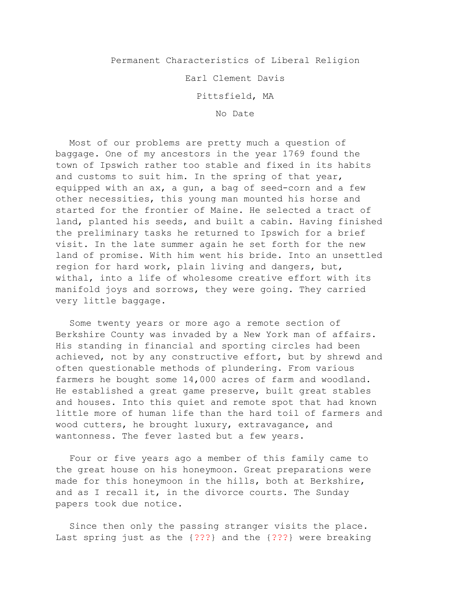Permanent Characteristics of Liberal Religion

Earl Clement Davis

Pittsfield, MA

No Date

Most of our problems are pretty much a question of baggage. One of my ancestors in the year 1769 found the town of Ipswich rather too stable and fixed in its habits and customs to suit him. In the spring of that year, equipped with an ax, a gun, a bag of seed-corn and a few other necessities, this young man mounted his horse and started for the frontier of Maine. He selected a tract of land, planted his seeds, and built a cabin. Having finished the preliminary tasks he returned to Ipswich for a brief visit. In the late summer again he set forth for the new land of promise. With him went his bride. Into an unsettled region for hard work, plain living and dangers, but, withal, into a life of wholesome creative effort with its manifold joys and sorrows, they were going. They carried very little baggage.

Some twenty years or more ago a remote section of Berkshire County was invaded by a New York man of affairs. His standing in financial and sporting circles had been achieved, not by any constructive effort, but by shrewd and often questionable methods of plundering. From various farmers he bought some 14,000 acres of farm and woodland. He established a great game preserve, built great stables and houses. Into this quiet and remote spot that had known little more of human life than the hard toil of farmers and wood cutters, he brought luxury, extravagance, and wantonness. The fever lasted but a few years.

Four or five years ago a member of this family came to the great house on his honeymoon. Great preparations were made for this honeymoon in the hills, both at Berkshire, and as I recall it, in the divorce courts. The Sunday papers took due notice.

Since then only the passing stranger visits the place. Last spring just as the {???} and the {???} were breaking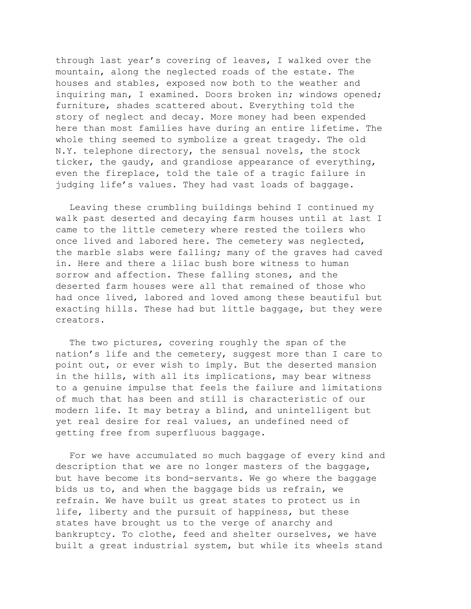through last year's covering of leaves, I walked over the mountain, along the neglected roads of the estate. The houses and stables, exposed now both to the weather and inquiring man, I examined. Doors broken in; windows opened; furniture, shades scattered about. Everything told the story of neglect and decay. More money had been expended here than most families have during an entire lifetime. The whole thing seemed to symbolize a great tragedy. The old N.Y. telephone directory, the sensual novels, the stock ticker, the gaudy, and grandiose appearance of everything, even the fireplace, told the tale of a tragic failure in judging life's values. They had vast loads of baggage.

Leaving these crumbling buildings behind I continued my walk past deserted and decaying farm houses until at last I came to the little cemetery where rested the toilers who once lived and labored here. The cemetery was neglected, the marble slabs were falling; many of the graves had caved in. Here and there a lilac bush bore witness to human sorrow and affection. These falling stones, and the deserted farm houses were all that remained of those who had once lived, labored and loved among these beautiful but exacting hills. These had but little baggage, but they were creators.

The two pictures, covering roughly the span of the nation's life and the cemetery, suggest more than I care to point out, or ever wish to imply. But the deserted mansion in the hills, with all its implications, may bear witness to a genuine impulse that feels the failure and limitations of much that has been and still is characteristic of our modern life. It may betray a blind, and unintelligent but yet real desire for real values, an undefined need of getting free from superfluous baggage.

For we have accumulated so much baggage of every kind and description that we are no longer masters of the baggage, but have become its bond-servants. We go where the baggage bids us to, and when the baggage bids us refrain, we refrain. We have built us great states to protect us in life, liberty and the pursuit of happiness, but these states have brought us to the verge of anarchy and bankruptcy. To clothe, feed and shelter ourselves, we have built a great industrial system, but while its wheels stand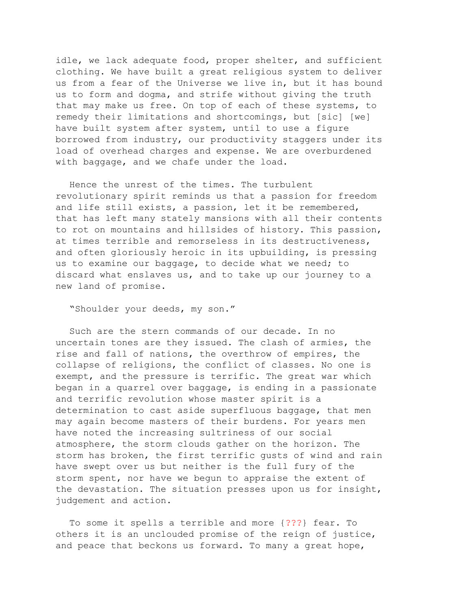idle, we lack adequate food, proper shelter, and sufficient clothing. We have built a great religious system to deliver us from a fear of the Universe we live in, but it has bound us to form and dogma, and strife without giving the truth that may make us free. On top of each of these systems, to remedy their limitations and shortcomings, but [sic] [we] have built system after system, until to use a figure borrowed from industry, our productivity staggers under its load of overhead charges and expense. We are overburdened with baggage, and we chafe under the load.

Hence the unrest of the times. The turbulent revolutionary spirit reminds us that a passion for freedom and life still exists, a passion, let it be remembered, that has left many stately mansions with all their contents to rot on mountains and hillsides of history. This passion, at times terrible and remorseless in its destructiveness, and often gloriously heroic in its upbuilding, is pressing us to examine our baggage, to decide what we need; to discard what enslaves us, and to take up our journey to a new land of promise.

"Shoulder your deeds, my son."

Such are the stern commands of our decade. In no uncertain tones are they issued. The clash of armies, the rise and fall of nations, the overthrow of empires, the collapse of religions, the conflict of classes. No one is exempt, and the pressure is terrific. The great war which began in a quarrel over baggage, is ending in a passionate and terrific revolution whose master spirit is a determination to cast aside superfluous baggage, that men may again become masters of their burdens. For years men have noted the increasing sultriness of our social atmosphere, the storm clouds gather on the horizon. The storm has broken, the first terrific gusts of wind and rain have swept over us but neither is the full fury of the storm spent, nor have we begun to appraise the extent of the devastation. The situation presses upon us for insight, judgement and action.

To some it spells a terrible and more {???} fear. To others it is an unclouded promise of the reign of justice, and peace that beckons us forward. To many a great hope,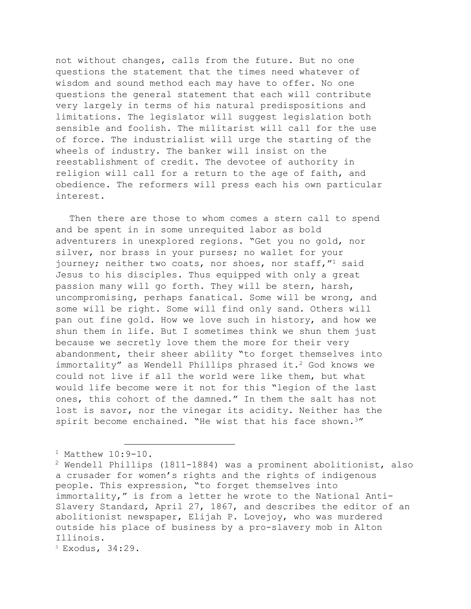not without changes, calls from the future. But no one questions the statement that the times need whatever of wisdom and sound method each may have to offer. No one questions the general statement that each will contribute very largely in terms of his natural predispositions and limitations. The legislator will suggest legislation both sensible and foolish. The militarist will call for the use of force. The industrialist will urge the starting of the wheels of industry. The banker will insist on the reestablishment of credit. The devotee of authority in religion will call for a return to the age of faith, and obedience. The reformers will press each his own particular interest.

Then there are those to whom comes a stern call to spend and be spent in in some unrequited labor as bold adventurers in unexplored regions. "Get you no gold, nor silver, nor brass in your purses; no wallet for your journey; neither two coats, nor shoes, nor staff,"<sup>1</sup> said Jesus to his disciples. Thus equipped with only a great passion many will go forth. They will be stern, harsh, uncompromising, perhaps fanatical. Some will be wrong, and some will be right. Some will find only sand. Others will pan out fine gold. How we love such in history, and how we shun them in life. But I sometimes think we shun them just because we secretly love them the more for their very abandonment, their sheer ability "to forget themselves into immortality" as Wendell Phillips phrased it.<sup>2</sup> God knows we could not live if all the world were like them, but what would life become were it not for this "legion of the last ones, this cohort of the damned." In them the salt has not lost is savor, nor the vinegar its acidity. Neither has the spirit become enchained. "He wist that his face shown.<sup>3"</sup>

 $^1$  Matthew  $10:9-10$ .

<sup>2</sup> Wendell Phillips (1811-1884) was a prominent abolitionist, also a crusader for women's rights and the rights of indigenous people. This expression, "to forget themselves into immortality," is from a letter he wrote to the National Anti-Slavery Standard, April 27, 1867, and describes the editor of an abolitionist newspaper, Elijah P. Lovejoy, who was murdered outside his place of business by a pro-slavery mob in Alton Illinois.

<sup>3</sup> Exodus, 34:29.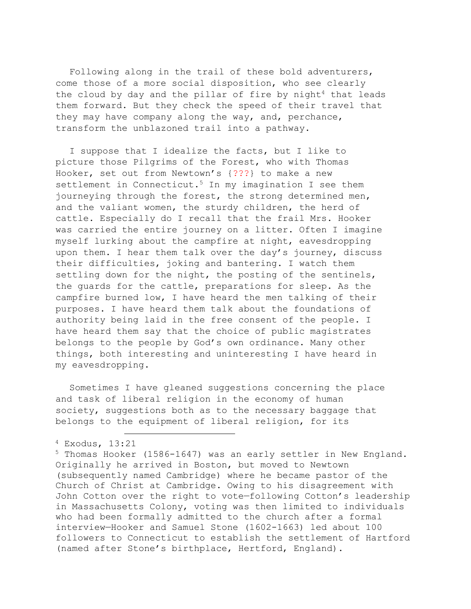Following along in the trail of these bold adventurers, come those of a more social disposition, who see clearly the cloud by day and the pillar of fire by night<sup>4</sup> that leads them forward. But they check the speed of their travel that they may have company along the way, and, perchance, transform the unblazoned trail into a pathway.

I suppose that I idealize the facts, but I like to picture those Pilgrims of the Forest, who with Thomas Hooker, set out from Newtown's {???} to make a new settlement in Connecticut.<sup>5</sup> In my imagination I see them journeying through the forest, the strong determined men, and the valiant women, the sturdy children, the herd of cattle. Especially do I recall that the frail Mrs. Hooker was carried the entire journey on a litter. Often I imagine myself lurking about the campfire at night, eavesdropping upon them. I hear them talk over the day's journey, discuss their difficulties, joking and bantering. I watch them settling down for the night, the posting of the sentinels, the guards for the cattle, preparations for sleep. As the campfire burned low, I have heard the men talking of their purposes. I have heard them talk about the foundations of authority being laid in the free consent of the people. I have heard them say that the choice of public magistrates belongs to the people by God's own ordinance. Many other things, both interesting and uninteresting I have heard in my eavesdropping.

Sometimes I have gleaned suggestions concerning the place and task of liberal religion in the economy of human society, suggestions both as to the necessary baggage that belongs to the equipment of liberal religion, for its

<sup>4</sup> Exodus, 13:21

<sup>5</sup> Thomas Hooker (1586-1647) was an early settler in New England. Originally he arrived in Boston, but moved to Newtown (subsequently named Cambridge) where he became pastor of the Church of Christ at Cambridge. Owing to his disagreement with John Cotton over the right to vote—following Cotton's leadership in Massachusetts Colony, voting was then limited to individuals who had been formally admitted to the church after a formal interview—Hooker and Samuel Stone (1602-1663) led about 100 followers to Connecticut to establish the settlement of Hartford (named after Stone's birthplace, Hertford, England).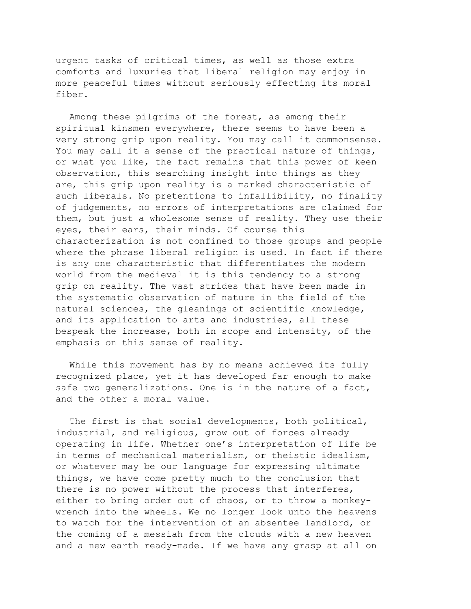urgent tasks of critical times, as well as those extra comforts and luxuries that liberal religion may enjoy in more peaceful times without seriously effecting its moral fiber.

Among these pilgrims of the forest, as among their spiritual kinsmen everywhere, there seems to have been a very strong grip upon reality. You may call it commonsense. You may call it a sense of the practical nature of things, or what you like, the fact remains that this power of keen observation, this searching insight into things as they are, this grip upon reality is a marked characteristic of such liberals. No pretentions to infallibility, no finality of judgements, no errors of interpretations are claimed for them, but just a wholesome sense of reality. They use their eyes, their ears, their minds. Of course this characterization is not confined to those groups and people where the phrase liberal religion is used. In fact if there is any one characteristic that differentiates the modern world from the medieval it is this tendency to a strong grip on reality. The vast strides that have been made in the systematic observation of nature in the field of the natural sciences, the gleanings of scientific knowledge, and its application to arts and industries, all these bespeak the increase, both in scope and intensity, of the emphasis on this sense of reality.

While this movement has by no means achieved its fully recognized place, yet it has developed far enough to make safe two generalizations. One is in the nature of a fact, and the other a moral value.

The first is that social developments, both political, industrial, and religious, grow out of forces already operating in life. Whether one's interpretation of life be in terms of mechanical materialism, or theistic idealism, or whatever may be our language for expressing ultimate things, we have come pretty much to the conclusion that there is no power without the process that interferes, either to bring order out of chaos, or to throw a monkeywrench into the wheels. We no longer look unto the heavens to watch for the intervention of an absentee landlord, or the coming of a messiah from the clouds with a new heaven and a new earth ready-made. If we have any grasp at all on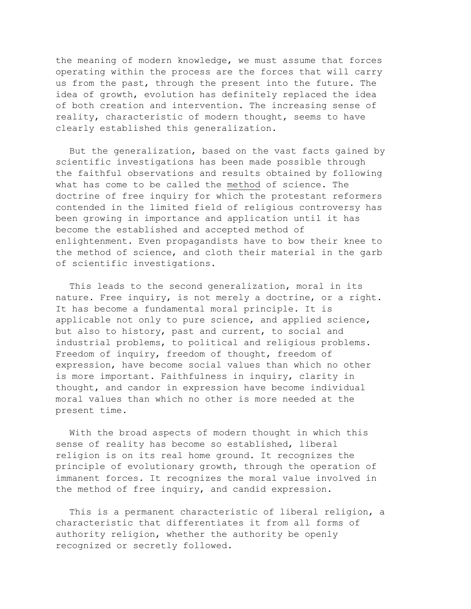the meaning of modern knowledge, we must assume that forces operating within the process are the forces that will carry us from the past, through the present into the future. The idea of growth, evolution has definitely replaced the idea of both creation and intervention. The increasing sense of reality, characteristic of modern thought, seems to have clearly established this generalization.

But the generalization, based on the vast facts gained by scientific investigations has been made possible through the faithful observations and results obtained by following what has come to be called the method of science. The doctrine of free inquiry for which the protestant reformers contended in the limited field of religious controversy has been growing in importance and application until it has become the established and accepted method of enlightenment. Even propagandists have to bow their knee to the method of science, and cloth their material in the garb of scientific investigations.

This leads to the second generalization, moral in its nature. Free inquiry, is not merely a doctrine, or a right. It has become a fundamental moral principle. It is applicable not only to pure science, and applied science, but also to history, past and current, to social and industrial problems, to political and religious problems. Freedom of inquiry, freedom of thought, freedom of expression, have become social values than which no other is more important. Faithfulness in inquiry, clarity in thought, and candor in expression have become individual moral values than which no other is more needed at the present time.

With the broad aspects of modern thought in which this sense of reality has become so established, liberal religion is on its real home ground. It recognizes the principle of evolutionary growth, through the operation of immanent forces. It recognizes the moral value involved in the method of free inquiry, and candid expression.

This is a permanent characteristic of liberal religion, a characteristic that differentiates it from all forms of authority religion, whether the authority be openly recognized or secretly followed.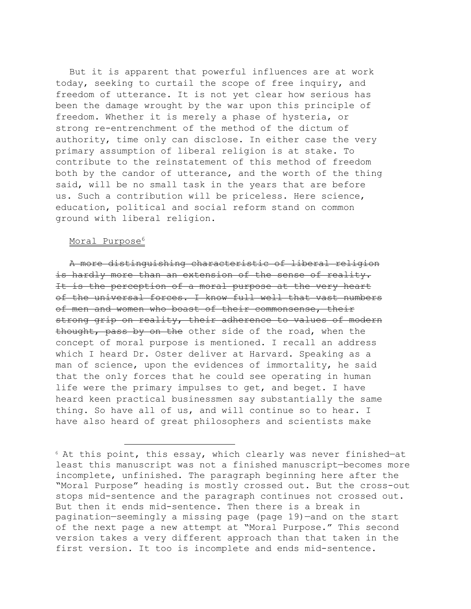But it is apparent that powerful influences are at work today, seeking to curtail the scope of free inquiry, and freedom of utterance. It is not yet clear how serious has been the damage wrought by the war upon this principle of freedom. Whether it is merely a phase of hysteria, or strong re-entrenchment of the method of the dictum of authority, time only can disclose. In either case the very primary assumption of liberal religion is at stake. To contribute to the reinstatement of this method of freedom both by the candor of utterance, and the worth of the thing said, will be no small task in the years that are before us. Such a contribution will be priceless. Here science, education, political and social reform stand on common ground with liberal religion.

## Moral Purpose<sup>6</sup>

A more distinguishing characteristic of liberal religion is hardly more than an extension of the sense of reality. It is the perception of a moral purpose at the very heart of the universal forces. I know full well that vast numbers of men and women who boast of their commonsense, their strong grip on reality, their adherence to values of modern thought, pass by on the other side of the road, when the concept of moral purpose is mentioned. I recall an address which I heard Dr. Oster deliver at Harvard. Speaking as a man of science, upon the evidences of immortality, he said that the only forces that he could see operating in human life were the primary impulses to get, and beget. I have heard keen practical businessmen say substantially the same thing. So have all of us, and will continue so to hear. I have also heard of great philosophers and scientists make

<sup>6</sup> At this point, this essay, which clearly was never finished—at least this manuscript was not a finished manuscript—becomes more incomplete, unfinished. The paragraph beginning here after the "Moral Purpose" heading is mostly crossed out. But the cross-out stops mid-sentence and the paragraph continues not crossed out. But then it ends mid-sentence. Then there is a break in pagination—seemingly a missing page (page 19)—and on the start of the next page a new attempt at "Moral Purpose." This second version takes a very different approach than that taken in the first version. It too is incomplete and ends mid-sentence.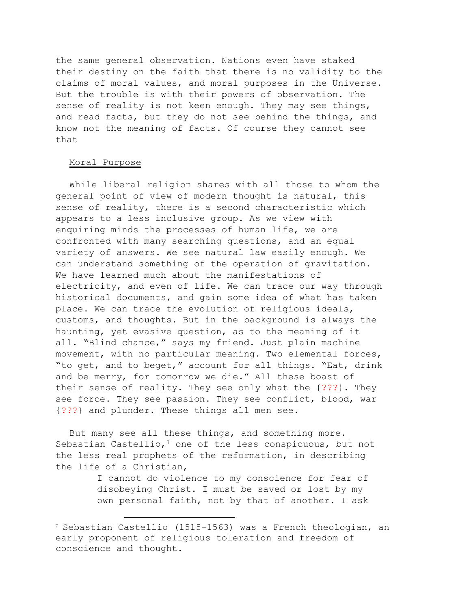the same general observation. Nations even have staked their destiny on the faith that there is no validity to the claims of moral values, and moral purposes in the Universe. But the trouble is with their powers of observation. The sense of reality is not keen enough. They may see things, and read facts, but they do not see behind the things, and know not the meaning of facts. Of course they cannot see that

## Moral Purpose

While liberal religion shares with all those to whom the general point of view of modern thought is natural, this sense of reality, there is a second characteristic which appears to a less inclusive group. As we view with enquiring minds the processes of human life, we are confronted with many searching questions, and an equal variety of answers. We see natural law easily enough. We can understand something of the operation of gravitation. We have learned much about the manifestations of electricity, and even of life. We can trace our way through historical documents, and gain some idea of what has taken place. We can trace the evolution of religious ideals, customs, and thoughts. But in the background is always the haunting, yet evasive question, as to the meaning of it all. "Blind chance," says my friend. Just plain machine movement, with no particular meaning. Two elemental forces, "to get, and to beget," account for all things. "Eat, drink and be merry, for tomorrow we die." All these boast of their sense of reality. They see only what the {???}. They see force. They see passion. They see conflict, blood, war {???} and plunder. These things all men see.

But many see all these things, and something more. Sebastian Castellio,<sup>7</sup> one of the less conspicuous, but not the less real prophets of the reformation, in describing the life of a Christian,

> I cannot do violence to my conscience for fear of disobeying Christ. I must be saved or lost by my own personal faith, not by that of another. I ask

<sup>7</sup> Sebastian Castellio (1515-1563) was a French theologian, an early proponent of religious toleration and freedom of conscience and thought.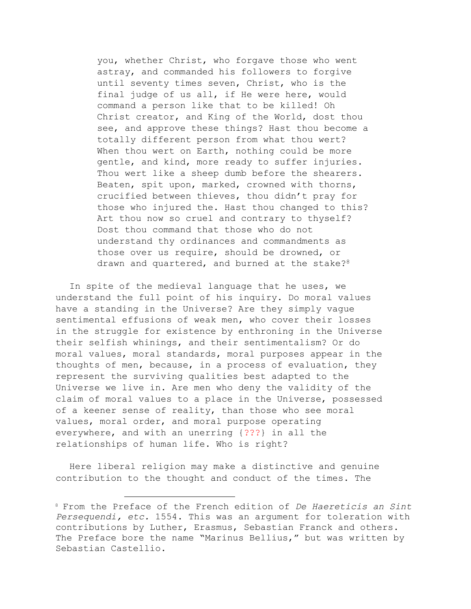you, whether Christ, who forgave those who went astray, and commanded his followers to forgive until seventy times seven, Christ, who is the final judge of us all, if He were here, would command a person like that to be killed! Oh Christ creator, and King of the World, dost thou see, and approve these things? Hast thou become a totally different person from what thou wert? When thou wert on Earth, nothing could be more gentle, and kind, more ready to suffer injuries. Thou wert like a sheep dumb before the shearers. Beaten, spit upon, marked, crowned with thorns, crucified between thieves, thou didn't pray for those who injured the. Hast thou changed to this? Art thou now so cruel and contrary to thyself? Dost thou command that those who do not understand thy ordinances and commandments as those over us require, should be drowned, or drawn and quartered, and burned at the stake?<sup>8</sup>

In spite of the medieval language that he uses, we understand the full point of his inquiry. Do moral values have a standing in the Universe? Are they simply vague sentimental effusions of weak men, who cover their losses in the struggle for existence by enthroning in the Universe their selfish whinings, and their sentimentalism? Or do moral values, moral standards, moral purposes appear in the thoughts of men, because, in a process of evaluation, they represent the surviving qualities best adapted to the Universe we live in. Are men who deny the validity of the claim of moral values to a place in the Universe, possessed of a keener sense of reality, than those who see moral values, moral order, and moral purpose operating everywhere, and with an unerring {???} in all the relationships of human life. Who is right?

Here liberal religion may make a distinctive and genuine contribution to the thought and conduct of the times. The

<sup>8</sup> From the Preface of the French edition of *De Haereticis an Sint Persequendi, etc.* 1554. This was an argument for toleration with contributions by Luther, Erasmus, Sebastian Franck and others. The Preface bore the name "Marinus Bellius," but was written by Sebastian Castellio.